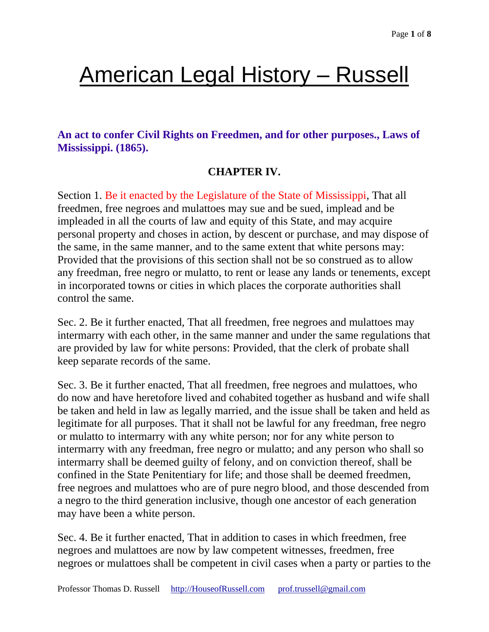## American Legal History – Russell

**An act to confer Civil Rights on Freedmen, and for other purposes., Laws of Mississippi. (1865).**

## **CHAPTER IV.**

Section 1. Be it enacted by the Legislature of the State of Mississippi, That all freedmen, free negroes and mulattoes may sue and be sued, implead and be impleaded in all the courts of law and equity of this State, and may acquire personal property and choses in action, by descent or purchase, and may dispose of the same, in the same manner, and to the same extent that white persons may: Provided that the provisions of this section shall not be so construed as to allow any freedman, free negro or mulatto, to rent or lease any lands or tenements, except in incorporated towns or cities in which places the corporate authorities shall control the same.

Sec. 2. Be it further enacted, That all freedmen, free negroes and mulattoes may intermarry with each other, in the same manner and under the same regulations that are provided by law for white persons: Provided, that the clerk of probate shall keep separate records of the same.

Sec. 3. Be it further enacted, That all freedmen, free negroes and mulattoes, who do now and have heretofore lived and cohabited together as husband and wife shall be taken and held in law as legally married, and the issue shall be taken and held as legitimate for all purposes. That it shall not be lawful for any freedman, free negro or mulatto to intermarry with any white person; nor for any white person to intermarry with any freedman, free negro or mulatto; and any person who shall so intermarry shall be deemed guilty of felony, and on conviction thereof, shall be confined in the State Penitentiary for life; and those shall be deemed freedmen, free negroes and mulattoes who are of pure negro blood, and those descended from a negro to the third generation inclusive, though one ancestor of each generation may have been a white person.

Sec. 4. Be it further enacted, That in addition to cases in which freedmen, free negroes and mulattoes are now by law competent witnesses, freedmen, free negroes or mulattoes shall be competent in civil cases when a party or parties to the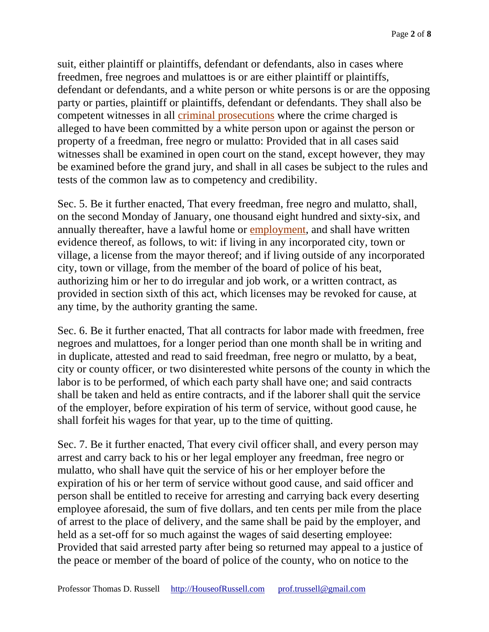suit, either plaintiff or plaintiffs, defendant or defendants, also in cases where freedmen, free negroes and mulattoes is or are either plaintiff or plaintiffs, defendant or defendants, and a white person or white persons is or are the opposing party or parties, plaintiff or plaintiffs, defendant or defendants. They shall also be competent witnesses in all [criminal prosecutions](http://www.houseofrussell.com/legalhistory/alh/docs/lawsofmiss.html) where the crime charged is alleged to have been committed by a white person upon or against the person or property of a freedman, free negro or mulatto: Provided that in all cases said witnesses shall be examined in open court on the stand, except however, they may be examined before the grand jury, and shall in all cases be subject to the rules and tests of the common law as to competency and credibility.

Sec. 5. Be it further enacted, That every freedman, free negro and mulatto, shall, on the second Monday of January, one thousand eight hundred and sixty-six, and annually thereafter, have a lawful home or [employment,](http://www.houseofrussell.com/legalhistory/alh/docs/lawsofmiss.html) and shall have written evidence thereof, as follows, to wit: if living in any incorporated city, town or village, a license from the mayor thereof; and if living outside of any incorporated city, town or village, from the member of the board of police of his beat, authorizing him or her to do irregular and job work, or a written contract, as provided in section sixth of this act, which licenses may be revoked for cause, at any time, by the authority granting the same.

Sec. 6. Be it further enacted, That all contracts for labor made with freedmen, free negroes and mulattoes, for a longer period than one month shall be in writing and in duplicate, attested and read to said freedman, free negro or mulatto, by a beat, city or county officer, or two disinterested white persons of the county in which the labor is to be performed, of which each party shall have one; and said contracts shall be taken and held as entire contracts, and if the laborer shall quit the service of the employer, before expiration of his term of service, without good cause, he shall forfeit his wages for that year, up to the time of quitting.

Sec. 7. Be it further enacted, That every civil officer shall, and every person may arrest and carry back to his or her legal employer any freedman, free negro or mulatto, who shall have quit the service of his or her employer before the expiration of his or her term of service without good cause, and said officer and person shall be entitled to receive for arresting and carrying back every deserting employee aforesaid, the sum of five dollars, and ten cents per mile from the place of arrest to the place of delivery, and the same shall be paid by the employer, and held as a set-off for so much against the wages of said deserting employee: Provided that said arrested party after being so returned may appeal to a justice of the peace or member of the board of police of the county, who on notice to the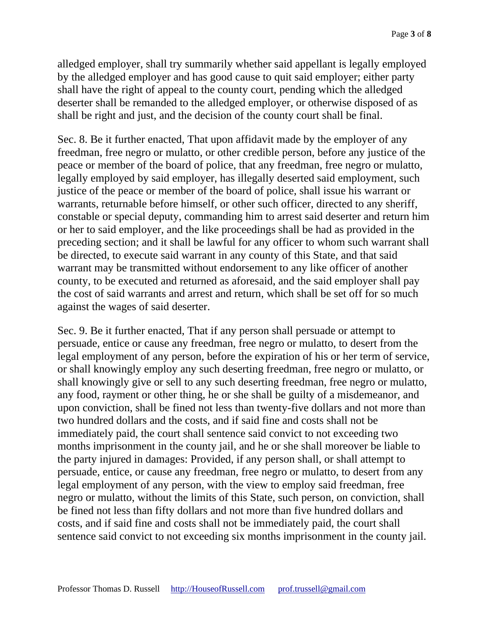alledged employer, shall try summarily whether said appellant is legally employed by the alledged employer and has good cause to quit said employer; either party shall have the right of appeal to the county court, pending which the alledged deserter shall be remanded to the alledged employer, or otherwise disposed of as shall be right and just, and the decision of the county court shall be final.

Sec. 8. Be it further enacted, That upon affidavit made by the employer of any freedman, free negro or mulatto, or other credible person, before any justice of the peace or member of the board of police, that any freedman, free negro or mulatto, legally employed by said employer, has illegally deserted said employment, such justice of the peace or member of the board of police, shall issue his warrant or warrants, returnable before himself, or other such officer, directed to any sheriff, constable or special deputy, commanding him to arrest said deserter and return him or her to said employer, and the like proceedings shall be had as provided in the preceding section; and it shall be lawful for any officer to whom such warrant shall be directed, to execute said warrant in any county of this State, and that said warrant may be transmitted without endorsement to any like officer of another county, to be executed and returned as aforesaid, and the said employer shall pay the cost of said warrants and arrest and return, which shall be set off for so much against the wages of said deserter.

Sec. 9. Be it further enacted, That if any person shall persuade or attempt to persuade, entice or cause any freedman, free negro or mulatto, to desert from the legal employment of any person, before the expiration of his or her term of service, or shall knowingly employ any such deserting freedman, free negro or mulatto, or shall knowingly give or sell to any such deserting freedman, free negro or mulatto, any food, rayment or other thing, he or she shall be guilty of a misdemeanor, and upon conviction, shall be fined not less than twenty-five dollars and not more than two hundred dollars and the costs, and if said fine and costs shall not be immediately paid, the court shall sentence said convict to not exceeding two months imprisonment in the county jail, and he or she shall moreover be liable to the party injured in damages: Provided, if any person shall, or shall attempt to persuade, entice, or cause any freedman, free negro or mulatto, to desert from any legal employment of any person, with the view to employ said freedman, free negro or mulatto, without the limits of this State, such person, on conviction, shall be fined not less than fifty dollars and not more than five hundred dollars and costs, and if said fine and costs shall not be immediately paid, the court shall sentence said convict to not exceeding six months imprisonment in the county jail.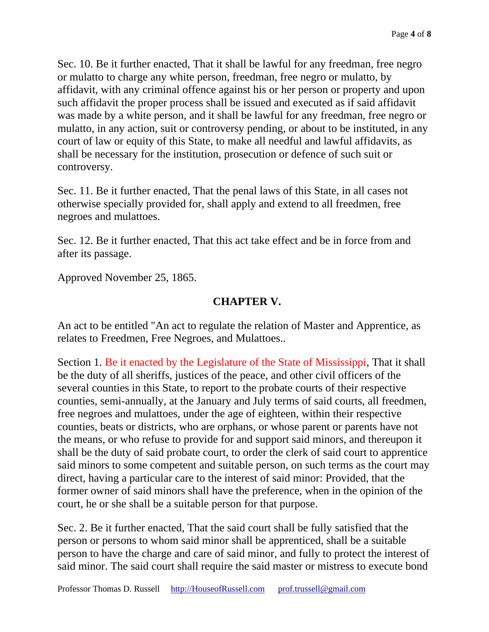Sec. 10. Be it further enacted, That it shall be lawful for any freedman, free negro or mulatto to charge any white person, freedman, free negro or mulatto, by affidavit, with any criminal offence against his or her person or property and upon such affidavit the proper process shall be issued and executed as if said affidavit was made by a white person, and it shall be lawful for any freedman, free negro or mulatto, in any action, suit or controversy pending, or about to be instituted, in any court of law or equity of this State, to make all needful and lawful affidavits, as shall be necessary for the institution, prosecution or defence of such suit or controversy.

Sec. 11. Be it further enacted, That the penal laws of this State, in all cases not otherwise specially provided for, shall apply and extend to all freedmen, free negroes and mulattoes.

Sec. 12. Be it further enacted, That this act take effect and be in force from and after its passage.

Approved November 25, 1865.

## **CHAPTER V.**

An act to be entitled "An act to regulate the relation of Master and Apprentice, as relates to Freedmen, Free Negroes, and Mulattoes..

Section 1. Be it enacted by the Legislature of the State of Mississippi, That it shall be the duty of all sheriffs, justices of the peace, and other civil officers of the several counties in this State, to report to the probate courts of their respective counties, semi-annually, at the January and July terms of said courts, all freedmen, free negroes and mulattoes, under the age of eighteen, within their respective counties, beats or districts, who are orphans, or whose parent or parents have not the means, or who refuse to provide for and support said minors, and thereupon it shall be the duty of said probate court, to order the clerk of said court to apprentice said minors to some competent and suitable person, on such terms as the court may direct, having a particular care to the interest of said minor: Provided, that the former owner of said minors shall have the preference, when in the opinion of the court, he or she shall be a suitable person for that purpose.

Sec. 2. Be it further enacted, That the said court shall be fully satisfied that the person or persons to whom said minor shall be apprenticed, shall be a suitable person to have the charge and care of said minor, and fully to protect the interest of said minor. The said court shall require the said master or mistress to execute bond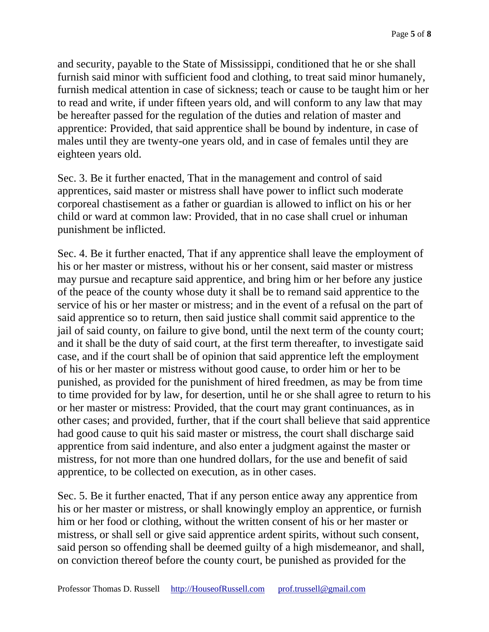and security, payable to the State of Mississippi, conditioned that he or she shall furnish said minor with sufficient food and clothing, to treat said minor humanely, furnish medical attention in case of sickness; teach or cause to be taught him or her to read and write, if under fifteen years old, and will conform to any law that may be hereafter passed for the regulation of the duties and relation of master and apprentice: Provided, that said apprentice shall be bound by indenture, in case of males until they are twenty-one years old, and in case of females until they are eighteen years old.

Sec. 3. Be it further enacted, That in the management and control of said apprentices, said master or mistress shall have power to inflict such moderate corporeal chastisement as a father or guardian is allowed to inflict on his or her child or ward at common law: Provided, that in no case shall cruel or inhuman punishment be inflicted.

Sec. 4. Be it further enacted, That if any apprentice shall leave the employment of his or her master or mistress, without his or her consent, said master or mistress may pursue and recapture said apprentice, and bring him or her before any justice of the peace of the county whose duty it shall be to remand said apprentice to the service of his or her master or mistress; and in the event of a refusal on the part of said apprentice so to return, then said justice shall commit said apprentice to the jail of said county, on failure to give bond, until the next term of the county court; and it shall be the duty of said court, at the first term thereafter, to investigate said case, and if the court shall be of opinion that said apprentice left the employment of his or her master or mistress without good cause, to order him or her to be punished, as provided for the punishment of hired freedmen, as may be from time to time provided for by law, for desertion, until he or she shall agree to return to his or her master or mistress: Provided, that the court may grant continuances, as in other cases; and provided, further, that if the court shall believe that said apprentice had good cause to quit his said master or mistress, the court shall discharge said apprentice from said indenture, and also enter a judgment against the master or mistress, for not more than one hundred dollars, for the use and benefit of said apprentice, to be collected on execution, as in other cases.

Sec. 5. Be it further enacted, That if any person entice away any apprentice from his or her master or mistress, or shall knowingly employ an apprentice, or furnish him or her food or clothing, without the written consent of his or her master or mistress, or shall sell or give said apprentice ardent spirits, without such consent, said person so offending shall be deemed guilty of a high misdemeanor, and shall, on conviction thereof before the county court, be punished as provided for the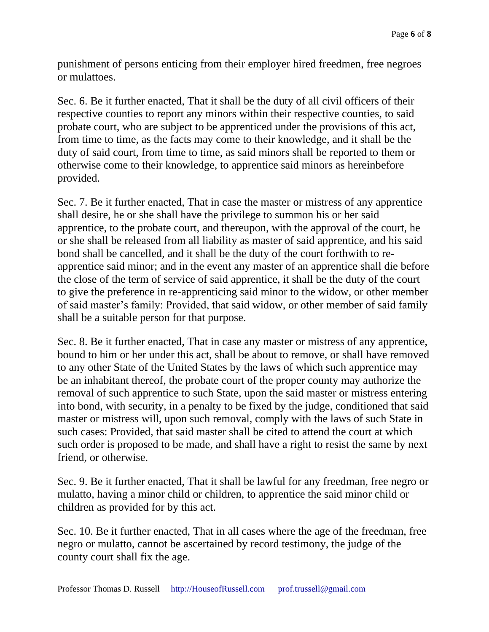punishment of persons enticing from their employer hired freedmen, free negroes or mulattoes.

Sec. 6. Be it further enacted, That it shall be the duty of all civil officers of their respective counties to report any minors within their respective counties, to said probate court, who are subject to be apprenticed under the provisions of this act, from time to time, as the facts may come to their knowledge, and it shall be the duty of said court, from time to time, as said minors shall be reported to them or otherwise come to their knowledge, to apprentice said minors as hereinbefore provided.

Sec. 7. Be it further enacted, That in case the master or mistress of any apprentice shall desire, he or she shall have the privilege to summon his or her said apprentice, to the probate court, and thereupon, with the approval of the court, he or she shall be released from all liability as master of said apprentice, and his said bond shall be cancelled, and it shall be the duty of the court forthwith to reapprentice said minor; and in the event any master of an apprentice shall die before the close of the term of service of said apprentice, it shall be the duty of the court to give the preference in re-apprenticing said minor to the widow, or other member of said master's family: Provided, that said widow, or other member of said family shall be a suitable person for that purpose.

Sec. 8. Be it further enacted, That in case any master or mistress of any apprentice, bound to him or her under this act, shall be about to remove, or shall have removed to any other State of the United States by the laws of which such apprentice may be an inhabitant thereof, the probate court of the proper county may authorize the removal of such apprentice to such State, upon the said master or mistress entering into bond, with security, in a penalty to be fixed by the judge, conditioned that said master or mistress will, upon such removal, comply with the laws of such State in such cases: Provided, that said master shall be cited to attend the court at which such order is proposed to be made, and shall have a right to resist the same by next friend, or otherwise.

Sec. 9. Be it further enacted, That it shall be lawful for any freedman, free negro or mulatto, having a minor child or children, to apprentice the said minor child or children as provided for by this act.

Sec. 10. Be it further enacted, That in all cases where the age of the freedman, free negro or mulatto, cannot be ascertained by record testimony, the judge of the county court shall fix the age.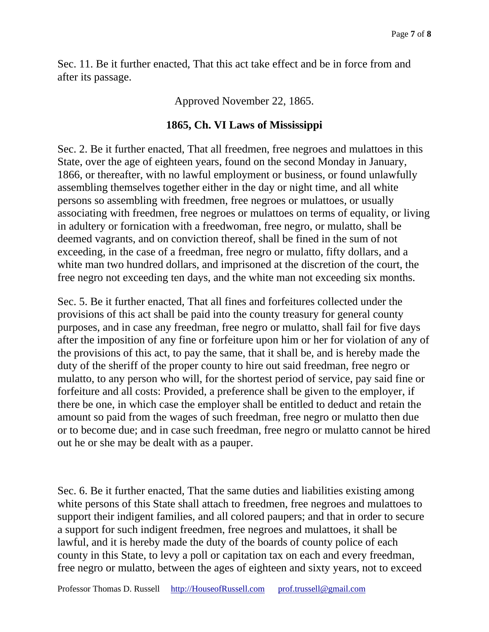Sec. 11. Be it further enacted, That this act take effect and be in force from and after its passage.

Approved November 22, 1865.

## **1865, Ch. VI Laws of Mississippi**

Sec. 2. Be it further enacted, That all freedmen, free negroes and mulattoes in this State, over the age of eighteen years, found on the second Monday in January, 1866, or thereafter, with no lawful employment or business, or found unlawfully assembling themselves together either in the day or night time, and all white persons so assembling with freedmen, free negroes or mulattoes, or usually associating with freedmen, free negroes or mulattoes on terms of equality, or living in adultery or fornication with a freedwoman, free negro, or mulatto, shall be deemed vagrants, and on conviction thereof, shall be fined in the sum of not exceeding, in the case of a freedman, free negro or mulatto, fifty dollars, and a white man two hundred dollars, and imprisoned at the discretion of the court, the free negro not exceeding ten days, and the white man not exceeding six months.

Sec. 5. Be it further enacted, That all fines and forfeitures collected under the provisions of this act shall be paid into the county treasury for general county purposes, and in case any freedman, free negro or mulatto, shall fail for five days after the imposition of any fine or forfeiture upon him or her for violation of any of the provisions of this act, to pay the same, that it shall be, and is hereby made the duty of the sheriff of the proper county to hire out said freedman, free negro or mulatto, to any person who will, for the shortest period of service, pay said fine or forfeiture and all costs: Provided, a preference shall be given to the employer, if there be one, in which case the employer shall be entitled to deduct and retain the amount so paid from the wages of such freedman, free negro or mulatto then due or to become due; and in case such freedman, free negro or mulatto cannot be hired out he or she may be dealt with as a pauper.

Sec. 6. Be it further enacted, That the same duties and liabilities existing among white persons of this State shall attach to freedmen, free negroes and mulattoes to support their indigent families, and all colored paupers; and that in order to secure a support for such indigent freedmen, free negroes and mulattoes, it shall be lawful, and it is hereby made the duty of the boards of county police of each county in this State, to levy a poll or capitation tax on each and every freedman, free negro or mulatto, between the ages of eighteen and sixty years, not to exceed